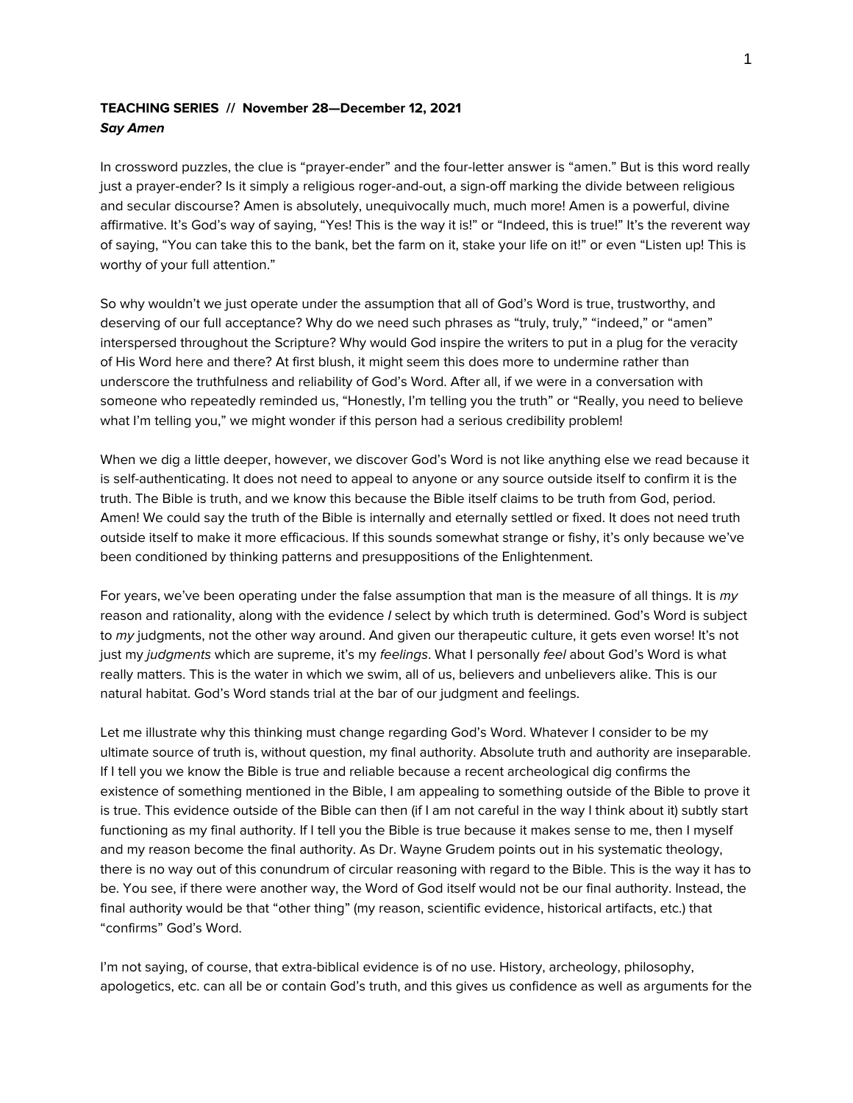# **TEACHING SERIES // November 28—December 12, 2021** *Say Amen*

In crossword puzzles, the clue is "prayer-ender" and the four-letter answer is "amen." But is this word really just a prayer-ender? Is it simply a religious roger-and-out, a sign-off marking the divide between religious and secular discourse? Amen is absolutely, unequivocally much, much more! Amen is a powerful, divine affirmative. It's God's way of saying, "Yes! This is the way it is!" or "Indeed, this is true!" It's the reverent way of saying, "You can take this to the bank, bet the farm on it, stake your life on it!" or even "Listen up! This is worthy of your full attention."

So why wouldn't we just operate under the assumption that all of God's Word is true, trustworthy, and deserving of our full acceptance? Why do we need such phrases as "truly, truly," "indeed," or "amen" interspersed throughout the Scripture? Why would God inspire the writers to put in a plug for the veracity of His Word here and there? At first blush, it might seem this does more to undermine rather than underscore the truthfulness and reliability of God's Word. After all, if we were in a conversation with someone who repeatedly reminded us, "Honestly, I'm telling you the truth" or "Really, you need to believe what I'm telling you," we might wonder if this person had a serious credibility problem!

When we dig a little deeper, however, we discover God's Word is not like anything else we read because it is self-authenticating. It does not need to appeal to anyone or any source outside itself to confirm it is the truth. The Bible is truth, and we know this because the Bible itself claims to be truth from God, period. Amen! We could say the truth of the Bible is internally and eternally settled or fixed. It does not need truth outside itself to make it more efficacious. If this sounds somewhat strange or fishy, it's only because we've been conditioned by thinking patterns and presuppositions of the Enlightenment.

For years, we've been operating under the false assumption that man is the measure of all things. It is *my* reason and rationality, along with the evidence *I* select by which truth is determined. God's Word is subject to *my* judgments, not the other way around. And given our therapeutic culture, it gets even worse! It's not just my *judgments* which are supreme, it's my *feelings*. What I personally *feel* about God's Word is what really matters. This is the water in which we swim, all of us, believers and unbelievers alike. This is our natural habitat. God's Word stands trial at the bar of our judgment and feelings.

Let me illustrate why this thinking must change regarding God's Word. Whatever I consider to be my ultimate source of truth is, without question, my final authority. Absolute truth and authority are inseparable. If I tell you we know the Bible is true and reliable because a recent archeological dig confirms the existence of something mentioned in the Bible, I am appealing to something outside of the Bible to prove it is true. This evidence outside of the Bible can then (if I am not careful in the way I think about it) subtly start functioning as my final authority. If I tell you the Bible is true because it makes sense to me, then I myself and my reason become the final authority. As Dr. Wayne Grudem points out in his systematic theology, there is no way out of this conundrum of circular reasoning with regard to the Bible. This is the way it has to be. You see, if there were another way, the Word of God itself would not be our final authority. Instead, the final authority would be that "other thing" (my reason, scientific evidence, historical artifacts, etc.) that "confirms" God's Word.

I'm not saying, of course, that extra-biblical evidence is of no use. History, archeology, philosophy, apologetics, etc. can all be or contain God's truth, and this gives us confidence as well as arguments for the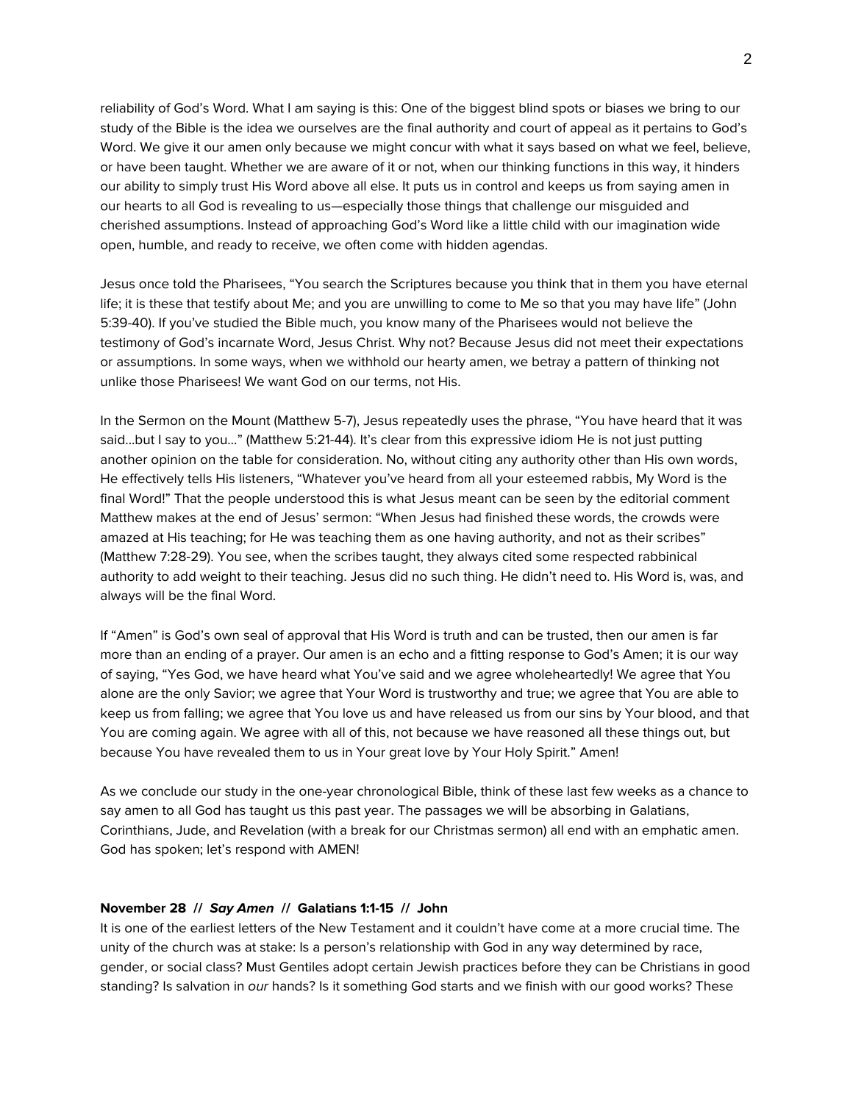reliability of God's Word. What I am saying is this: One of the biggest blind spots or biases we bring to our study of the Bible is the idea we ourselves are the final authority and court of appeal as it pertains to God's Word. We give it our amen only because we might concur with what it says based on what we feel, believe, or have been taught. Whether we are aware of it or not, when our thinking functions in this way, it hinders our ability to simply trust His Word above all else. It puts us in control and keeps us from saying amen in our hearts to all God is revealing to us—especially those things that challenge our misguided and cherished assumptions. Instead of approaching God's Word like a little child with our imagination wide open, humble, and ready to receive, we often come with hidden agendas.

Jesus once told the Pharisees, "You search the Scriptures because you think that in them you have eternal life; it is these that testify about Me; and you are unwilling to come to Me so that you may have life" (John 5:39-40). If you've studied the Bible much, you know many of the Pharisees would not believe the testimony of God's incarnate Word, Jesus Christ. Why not? Because Jesus did not meet their expectations or assumptions. In some ways, when we withhold our hearty amen, we betray a pattern of thinking not unlike those Pharisees! We want God on our terms, not His.

In the Sermon on the Mount (Matthew 5-7), Jesus repeatedly uses the phrase, "You have heard that it was said...but I say to you..." (Matthew 5:21-44). It's clear from this expressive idiom He is not just putting another opinion on the table for consideration. No, without citing any authority other than His own words, He effectively tells His listeners, "Whatever you've heard from all your esteemed rabbis, My Word is the final Word!" That the people understood this is what Jesus meant can be seen by the editorial comment Matthew makes at the end of Jesus' sermon: "When Jesus had finished these words, the crowds were amazed at His teaching; for He was teaching them as one having authority, and not as their scribes" (Matthew 7:28-29). You see, when the scribes taught, they always cited some respected rabbinical authority to add weight to their teaching. Jesus did no such thing. He didn't need to. His Word is, was, and always will be the final Word.

If "Amen" is God's own seal of approval that His Word is truth and can be trusted, then our amen is far more than an ending of a prayer. Our amen is an echo and a fitting response to God's Amen; it is our way of saying, "Yes God, we have heard what You've said and we agree wholeheartedly! We agree that You alone are the only Savior; we agree that Your Word is trustworthy and true; we agree that You are able to keep us from falling; we agree that You love us and have released us from our sins by Your blood, and that You are coming again. We agree with all of this, not because we have reasoned all these things out, but because You have revealed them to us in Your great love by Your Holy Spirit." Amen!

As we conclude our study in the one-year chronological Bible, think of these last few weeks as a chance to say amen to all God has taught us this past year. The passages we will be absorbing in Galatians, Corinthians, Jude, and Revelation (with a break for our Christmas sermon) all end with an emphatic amen. God has spoken; let's respond with AMEN!

#### **November 28 //** *Say Amen* **// Galatians 1:1-15 // John**

It is one of the earliest letters of the New Testament and it couldn't have come at a more crucial time. The unity of the church was at stake: Is a person's relationship with God in any way determined by race, gender, or social class? Must Gentiles adopt certain Jewish practices before they can be Christians in good standing? Is salvation in *our* hands? Is it something God starts and we finish with our good works? These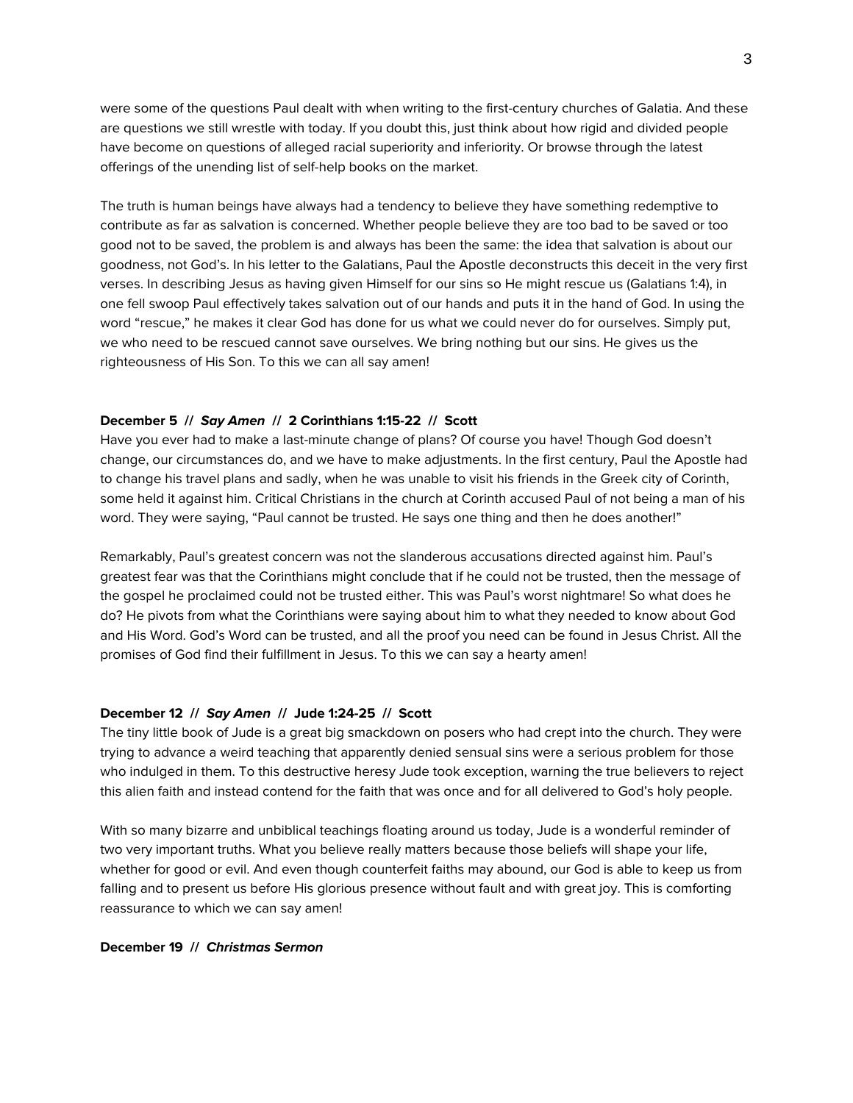were some of the questions Paul dealt with when writing to the first-century churches of Galatia. And these are questions we still wrestle with today. If you doubt this, just think about how rigid and divided people have become on questions of alleged racial superiority and inferiority. Or browse through the latest offerings of the unending list of self-help books on the market.

The truth is human beings have always had a tendency to believe they have something redemptive to contribute as far as salvation is concerned. Whether people believe they are too bad to be saved or too good not to be saved, the problem is and always has been the same: the idea that salvation is about our goodness, not God's. In his letter to the Galatians, Paul the Apostle deconstructs this deceit in the very first verses. In describing Jesus as having given Himself for our sins so He might rescue us (Galatians 1:4), in one fell swoop Paul effectively takes salvation out of our hands and puts it in the hand of God. In using the word "rescue," he makes it clear God has done for us what we could never do for ourselves. Simply put, we who need to be rescued cannot save ourselves. We bring nothing but our sins. He gives us the righteousness of His Son. To this we can all say amen!

## **December 5 //** *Say Amen* **// 2 Corinthians 1:15-22 // Scott**

Have you ever had to make a last-minute change of plans? Of course you have! Though God doesn't change, our circumstances do, and we have to make adjustments. In the first century, Paul the Apostle had to change his travel plans and sadly, when he was unable to visit his friends in the Greek city of Corinth, some held it against him. Critical Christians in the church at Corinth accused Paul of not being a man of his word. They were saying, "Paul cannot be trusted. He says one thing and then he does another!"

Remarkably, Paul's greatest concern was not the slanderous accusations directed against him. Paul's greatest fear was that the Corinthians might conclude that if he could not be trusted, then the message of the gospel he proclaimed could not be trusted either. This was Paul's worst nightmare! So what does he do? He pivots from what the Corinthians were saying about him to what they needed to know about God and His Word. God's Word can be trusted, and all the proof you need can be found in Jesus Christ. All the promises of God find their fulfillment in Jesus. To this we can say a hearty amen!

#### **December 12 //** *Say Amen* **// Jude 1:24-25 // Scott**

The tiny little book of Jude is a great big smackdown on posers who had crept into the church. They were trying to advance a weird teaching that apparently denied sensual sins were a serious problem for those who indulged in them. To this destructive heresy Jude took exception, warning the true believers to reject this alien faith and instead contend for the faith that was once and for all delivered to God's holy people.

With so many bizarre and unbiblical teachings floating around us today, Jude is a wonderful reminder of two very important truths. What you believe really matters because those beliefs will shape your life, whether for good or evil. And even though counterfeit faiths may abound, our God is able to keep us from falling and to present us before His glorious presence without fault and with great joy. This is comforting reassurance to which we can say amen!

## **December 19 //** *Christmas Sermon*